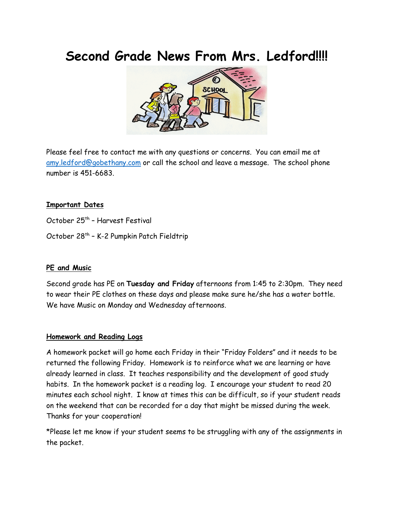# **Second Grade News From Mrs. Ledford!!!!**



Please feel free to conta[ct m](https://creativecommons.org/licenses/by-nd/3.0/)e with any questions or concerns. You can email me at [amy.ledford@gobethany.com](mailto:amy.ledford@gobethany.com) or call the school and leave a message. The school phone number is 451-6683.

### **Important Dates**

October 25<sup>th</sup> - Harvest Festival

October 28<sup>th</sup> - K-2 Pumpkin Patch Fieldtrip

### **PE and Music**

Second grade has PE on **Tuesday and Friday** afternoons from 1:45 to 2:30pm. They need to wear their PE clothes on these days and please make sure he/she has a water bottle. We have Music on Monday and Wednesday afternoons.

### **Homework and Reading Logs**

A homework packet will go home each Friday in their "Friday Folders" and it needs to be returned the following Friday. Homework is to reinforce what we are learning or have already learned in class. It teaches responsibility and the development of good study habits. In the homework packet is a reading log. I encourage your student to read 20 minutes each school night. I know at times this can be difficult, so if your student reads on the weekend that can be recorded for a day that might be missed during the week. Thanks for your cooperation!

\*Please let me know if your student seems to be struggling with any of the assignments in the packet.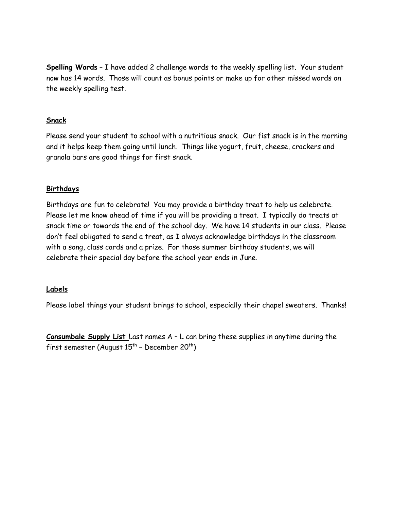**Spelling Words** – I have added 2 challenge words to the weekly spelling list. Your student now has 14 words. Those will count as bonus points or make up for other missed words on the weekly spelling test.

## **Snack**

Please send your student to school with a nutritious snack. Our fist snack is in the morning and it helps keep them going until lunch. Things like yogurt, fruit, cheese, crackers and granola bars are good things for first snack.

### **Birthdays**

Birthdays are fun to celebrate! You may provide a birthday treat to help us celebrate. Please let me know ahead of time if you will be providing a treat. I typically do treats at snack time or towards the end of the school day. We have 14 students in our class. Please don't feel obligated to send a treat, as I always acknowledge birthdays in the classroom with a song, class cards and a prize. For those summer birthday students, we will celebrate their special day before the school year ends in June.

### **Labels**

Please label things your student brings to school, especially their chapel sweaters. Thanks!

**Consumbale Supply List** Last names A – L can bring these supplies in anytime during the first semester (August  $15^{th}$  - December  $20^{th}$ )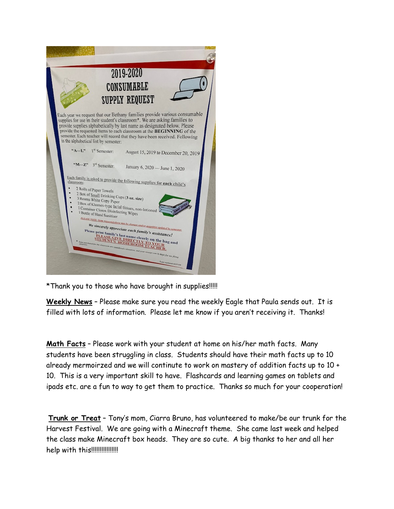

\*Thank you to those who have brought in supplies!!!!!

**Weekly News** – Please make sure you read the weekly Eagle that Paula sends out. It is filled with lots of information. Please let me know if you aren't receiving it. Thanks!

**Math Facts** – Please work with your student at home on his/her math facts. Many students have been struggling in class. Students should have their math facts up to 10 already mermoirzed and we will continute to work on mastery of addition facts up to 10 + 10. This is a very important skill to have. Flashcards and learning games on tablets and ipads etc. are a fun to way to get them to practice. Thanks so much for your cooperation!

**Trunk or Treat** – Tony's mom, Ciarra Bruno, has volunteered to make/be our trunk for the Harvest Festival. We are going with a Minecraft theme. She came last week and helped the class make Minecraft box heads. They are so cute. A big thanks to her and all her help with this!!!!!!!!!!!!!!!!